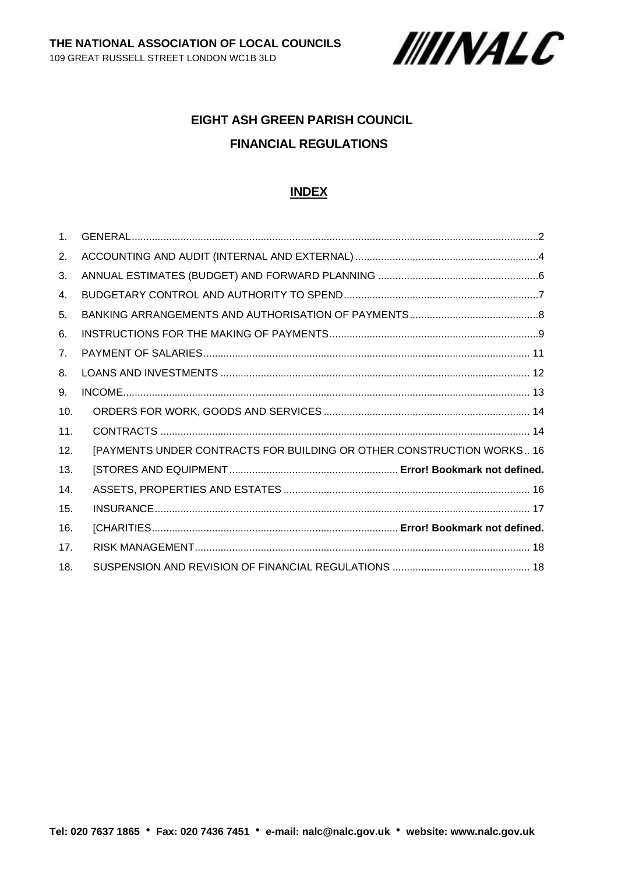

# **EIGHT ASH GREEN PARISH COUNCIL FINANCIAL REGULATIONS**

### **INDEX**

| 1 <sub>1</sub> |                                                                       |
|----------------|-----------------------------------------------------------------------|
| 2.             |                                                                       |
| 3.             |                                                                       |
| 4.             |                                                                       |
| 5.             |                                                                       |
| 6.             |                                                                       |
| 7 <sub>1</sub> |                                                                       |
| 8.             |                                                                       |
| 9.             |                                                                       |
| 10.            |                                                                       |
| 11.            |                                                                       |
| 12.            | [PAYMENTS UNDER CONTRACTS FOR BUILDING OR OTHER CONSTRUCTION WORKS 16 |
| 13.            |                                                                       |
| 14.            |                                                                       |
| 15.            |                                                                       |
| 16.            |                                                                       |
| 17.            |                                                                       |
| 18.            |                                                                       |

**Tel: 020 7637 1865 Fax: 020 7436 7451 e-mail: [nalc@nalc.gov.uk](mailto:nalc@nalc.gov.uk) website: www.nalc.gov.uk**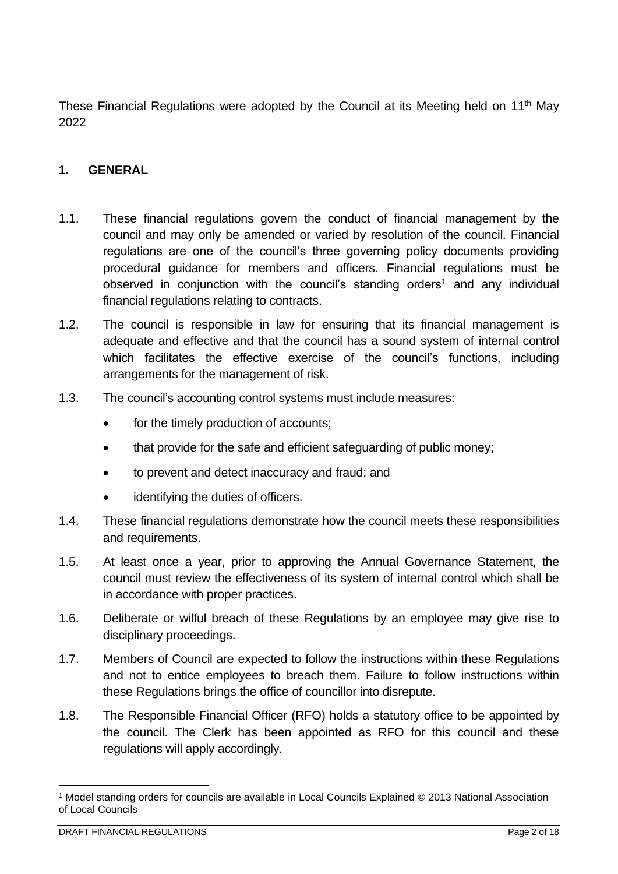These Financial Regulations were adopted by the Council at its Meeting held on  $11<sup>th</sup>$  May 2022

## <span id="page-1-0"></span>**1. GENERAL**

- 1.1. These financial regulations govern the conduct of financial management by the council and may only be amended or varied by resolution of the council. Financial regulations are one of the council's three governing policy documents providing procedural guidance for members and officers. Financial regulations must be observed in conjunction with the council's standing orders<sup>1</sup> and any individual financial regulations relating to contracts.
- 1.2. The council is responsible in law for ensuring that its financial management is adequate and effective and that the council has a sound system of internal control which facilitates the effective exercise of the council's functions, including arrangements for the management of risk.
- 1.3. The council's accounting control systems must include measures:
	- for the timely production of accounts;
	- that provide for the safe and efficient safeguarding of public money;
	- to prevent and detect inaccuracy and fraud; and
	- identifying the duties of officers.
- 1.4. These financial regulations demonstrate how the council meets these responsibilities and requirements.
- 1.5. At least once a year, prior to approving the Annual Governance Statement, the council must review the effectiveness of its system of internal control which shall be in accordance with proper practices.
- 1.6. Deliberate or wilful breach of these Regulations by an employee may give rise to disciplinary proceedings.
- 1.7. Members of Council are expected to follow the instructions within these Regulations and not to entice employees to breach them. Failure to follow instructions within these Regulations brings the office of councillor into disrepute.
- 1.8. The Responsible Financial Officer (RFO) holds a statutory office to be appointed by the council. The Clerk has been appointed as RFO for this council and these regulations will apply accordingly.

<sup>1</sup> Model standing orders for councils are available in Local Councils Explained © 2013 National Association of Local Councils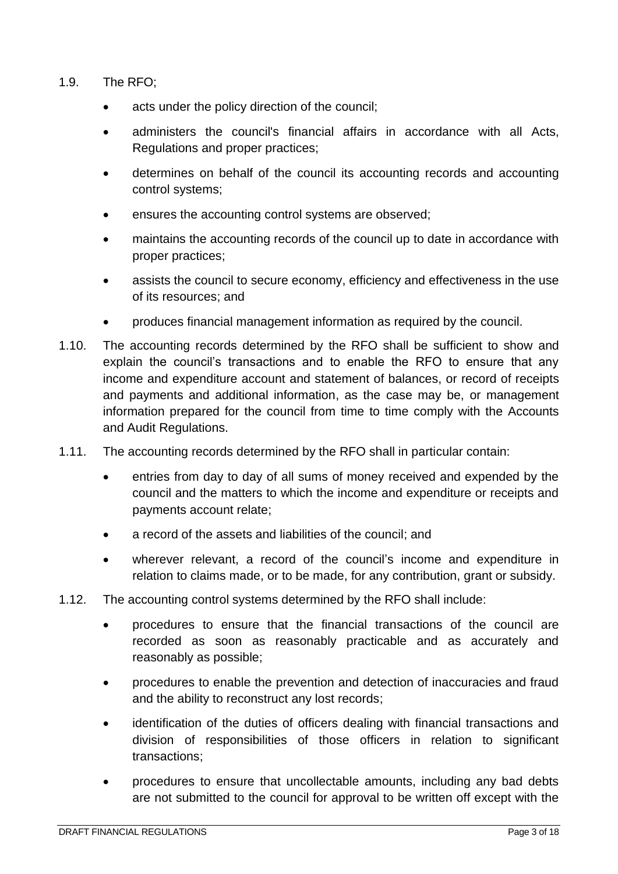- 1.9. The RFO;
	- acts under the policy direction of the council;
	- administers the council's financial affairs in accordance with all Acts, Regulations and proper practices;
	- determines on behalf of the council its accounting records and accounting control systems;
	- ensures the accounting control systems are observed;
	- maintains the accounting records of the council up to date in accordance with proper practices;
	- assists the council to secure economy, efficiency and effectiveness in the use of its resources; and
	- produces financial management information as required by the council.
- 1.10. The accounting records determined by the RFO shall be sufficient to show and explain the council's transactions and to enable the RFO to ensure that any income and expenditure account and statement of balances, or record of receipts and payments and additional information, as the case may be, or management information prepared for the council from time to time comply with the Accounts and Audit Regulations.
- 1.11. The accounting records determined by the RFO shall in particular contain:
	- entries from day to day of all sums of money received and expended by the council and the matters to which the income and expenditure or receipts and payments account relate;
	- a record of the assets and liabilities of the council; and
	- wherever relevant, a record of the council's income and expenditure in relation to claims made, or to be made, for any contribution, grant or subsidy.
- 1.12. The accounting control systems determined by the RFO shall include:
	- procedures to ensure that the financial transactions of the council are recorded as soon as reasonably practicable and as accurately and reasonably as possible;
	- procedures to enable the prevention and detection of inaccuracies and fraud and the ability to reconstruct any lost records;
	- identification of the duties of officers dealing with financial transactions and division of responsibilities of those officers in relation to significant transactions;
	- procedures to ensure that uncollectable amounts, including any bad debts are not submitted to the council for approval to be written off except with the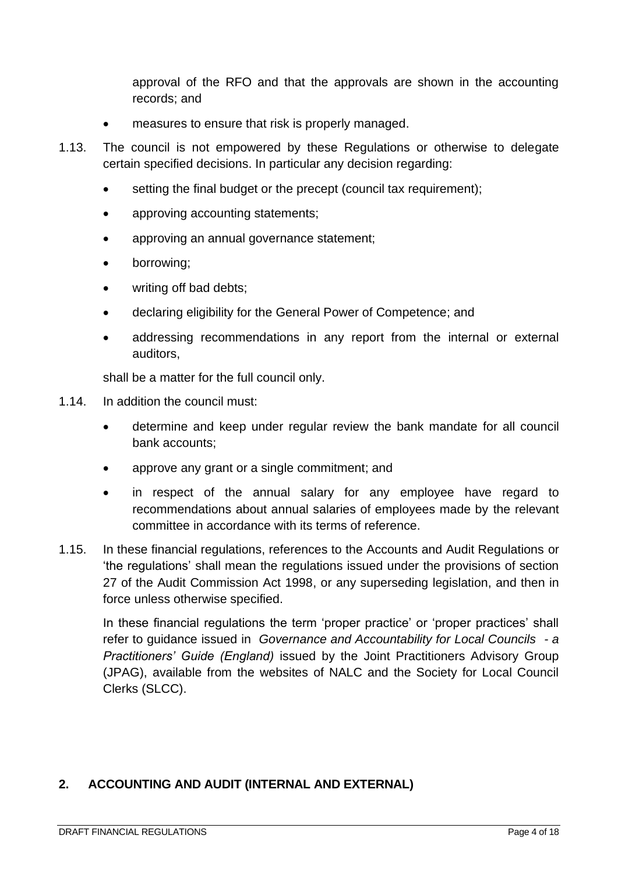approval of the RFO and that the approvals are shown in the accounting records; and

- measures to ensure that risk is properly managed.
- 1.13. The council is not empowered by these Regulations or otherwise to delegate certain specified decisions. In particular any decision regarding:
	- setting the final budget or the precept (council tax requirement);
	- approving accounting statements;
	- approving an annual governance statement;
	- borrowing;
	- writing off bad debts:
	- declaring eligibility for the General Power of Competence; and
	- addressing recommendations in any report from the internal or external auditors,

shall be a matter for the full council only.

- 1.14. In addition the council must:
	- determine and keep under regular review the bank mandate for all council bank accounts;
	- approve any grant or a single commitment; and
	- in respect of the annual salary for any employee have regard to recommendations about annual salaries of employees made by the relevant committee in accordance with its terms of reference.
- 1.15. In these financial regulations, references to the Accounts and Audit Regulations or 'the regulations' shall mean the regulations issued under the provisions of section 27 of the Audit Commission Act 1998, or any superseding legislation, and then in force unless otherwise specified.

In these financial regulations the term 'proper practice' or 'proper practices' shall refer to guidance issued in *Governance and Accountability for Local Councils - a Practitioners' Guide (England)* issued by the Joint Practitioners Advisory Group (JPAG), available from the websites of NALC and the Society for Local Council Clerks (SLCC).

#### <span id="page-3-0"></span>**2. ACCOUNTING AND AUDIT (INTERNAL AND EXTERNAL)**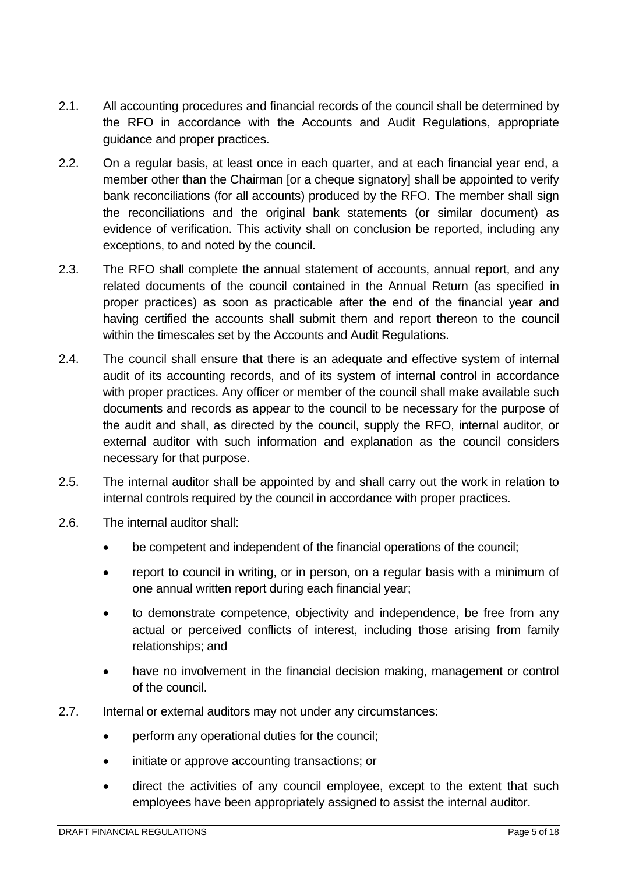- 2.1. All accounting procedures and financial records of the council shall be determined by the RFO in accordance with the Accounts and Audit Regulations, appropriate guidance and proper practices.
- 2.2. On a regular basis, at least once in each quarter, and at each financial year end, a member other than the Chairman [or a cheque signatory] shall be appointed to verify bank reconciliations (for all accounts) produced by the RFO. The member shall sign the reconciliations and the original bank statements (or similar document) as evidence of verification. This activity shall on conclusion be reported, including any exceptions, to and noted by the council.
- 2.3. The RFO shall complete the annual statement of accounts, annual report, and any related documents of the council contained in the Annual Return (as specified in proper practices) as soon as practicable after the end of the financial year and having certified the accounts shall submit them and report thereon to the council within the timescales set by the Accounts and Audit Regulations.
- 2.4. The council shall ensure that there is an adequate and effective system of internal audit of its accounting records, and of its system of internal control in accordance with proper practices. Any officer or member of the council shall make available such documents and records as appear to the council to be necessary for the purpose of the audit and shall, as directed by the council, supply the RFO, internal auditor, or external auditor with such information and explanation as the council considers necessary for that purpose.
- 2.5. The internal auditor shall be appointed by and shall carry out the work in relation to internal controls required by the council in accordance with proper practices.
- 2.6. The internal auditor shall:
	- be competent and independent of the financial operations of the council;
	- report to council in writing, or in person, on a regular basis with a minimum of one annual written report during each financial year;
	- to demonstrate competence, objectivity and independence, be free from any actual or perceived conflicts of interest, including those arising from family relationships; and
	- have no involvement in the financial decision making, management or control of the council.
- 2.7. Internal or external auditors may not under any circumstances:
	- perform any operational duties for the council;
	- initiate or approve accounting transactions; or
	- direct the activities of any council employee, except to the extent that such employees have been appropriately assigned to assist the internal auditor.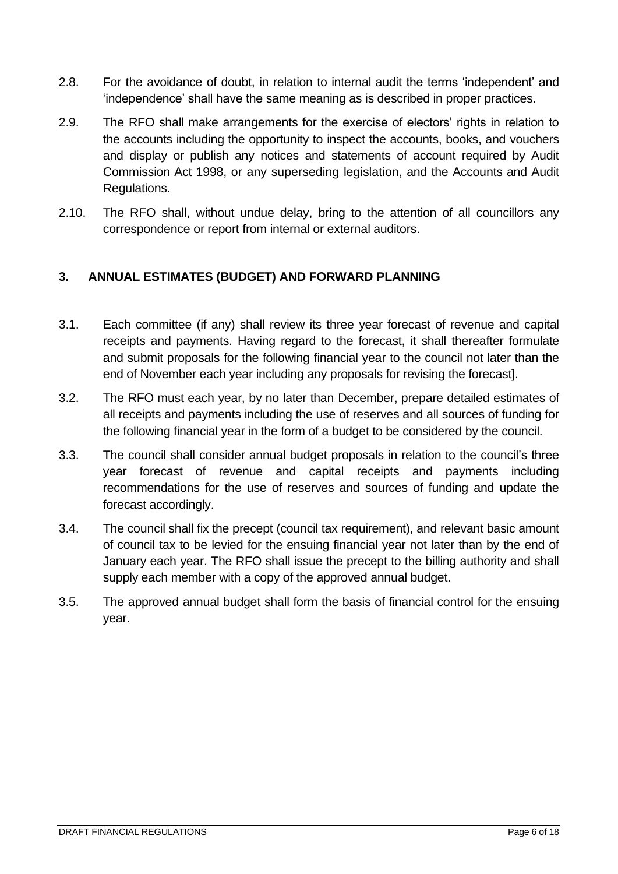- 2.8. For the avoidance of doubt, in relation to internal audit the terms 'independent' and 'independence' shall have the same meaning as is described in proper practices.
- 2.9. The RFO shall make arrangements for the exercise of electors' rights in relation to the accounts including the opportunity to inspect the accounts, books, and vouchers and display or publish any notices and statements of account required by Audit Commission Act 1998, or any superseding legislation, and the Accounts and Audit Regulations.
- 2.10. The RFO shall, without undue delay, bring to the attention of all councillors any correspondence or report from internal or external auditors.

## <span id="page-5-0"></span>**3. ANNUAL ESTIMATES (BUDGET) AND FORWARD PLANNING**

- 3.1. Each committee (if any) shall review its three year forecast of revenue and capital receipts and payments. Having regard to the forecast, it shall thereafter formulate and submit proposals for the following financial year to the council not later than the end of November each year including any proposals for revising the forecast].
- 3.2. The RFO must each year, by no later than December, prepare detailed estimates of all receipts and payments including the use of reserves and all sources of funding for the following financial year in the form of a budget to be considered by the council.
- 3.3. The council shall consider annual budget proposals in relation to the council's three year forecast of revenue and capital receipts and payments including recommendations for the use of reserves and sources of funding and update the forecast accordingly.
- 3.4. The council shall fix the precept (council tax requirement), and relevant basic amount of council tax to be levied for the ensuing financial year not later than by the end of January each year. The RFO shall issue the precept to the billing authority and shall supply each member with a copy of the approved annual budget.
- 3.5. The approved annual budget shall form the basis of financial control for the ensuing year.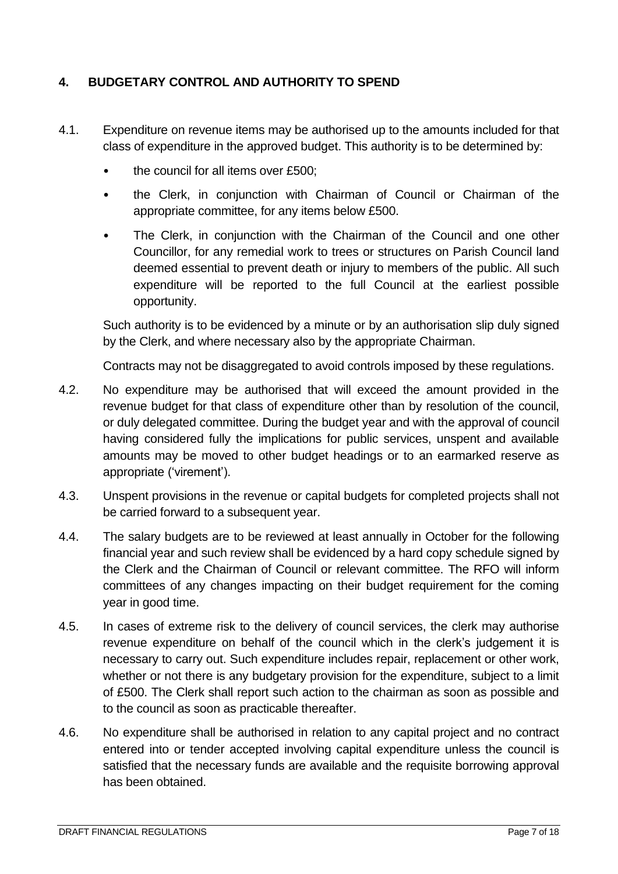## <span id="page-6-0"></span>**4. BUDGETARY CONTROL AND AUTHORITY TO SPEND**

- 4.1. Expenditure on revenue items may be authorised up to the amounts included for that class of expenditure in the approved budget. This authority is to be determined by:
	- the council for all items over £500;
	- the Clerk, in conjunction with Chairman of Council or Chairman of the appropriate committee, for any items below £500.
	- The Clerk, in conjunction with the Chairman of the Council and one other Councillor, for any remedial work to trees or structures on Parish Council land deemed essential to prevent death or injury to members of the public. All such expenditure will be reported to the full Council at the earliest possible opportunity.

Such authority is to be evidenced by a minute or by an authorisation slip duly signed by the Clerk, and where necessary also by the appropriate Chairman.

Contracts may not be disaggregated to avoid controls imposed by these regulations.

- 4.2. No expenditure may be authorised that will exceed the amount provided in the revenue budget for that class of expenditure other than by resolution of the council, or duly delegated committee. During the budget year and with the approval of council having considered fully the implications for public services, unspent and available amounts may be moved to other budget headings or to an earmarked reserve as appropriate ('virement').
- 4.3. Unspent provisions in the revenue or capital budgets for completed projects shall not be carried forward to a subsequent year.
- 4.4. The salary budgets are to be reviewed at least annually in October for the following financial year and such review shall be evidenced by a hard copy schedule signed by the Clerk and the Chairman of Council or relevant committee. The RFO will inform committees of any changes impacting on their budget requirement for the coming year in good time.
- 4.5. In cases of extreme risk to the delivery of council services, the clerk may authorise revenue expenditure on behalf of the council which in the clerk's judgement it is necessary to carry out. Such expenditure includes repair, replacement or other work, whether or not there is any budgetary provision for the expenditure, subject to a limit of £500. The Clerk shall report such action to the chairman as soon as possible and to the council as soon as practicable thereafter.
- 4.6. No expenditure shall be authorised in relation to any capital project and no contract entered into or tender accepted involving capital expenditure unless the council is satisfied that the necessary funds are available and the requisite borrowing approval has been obtained.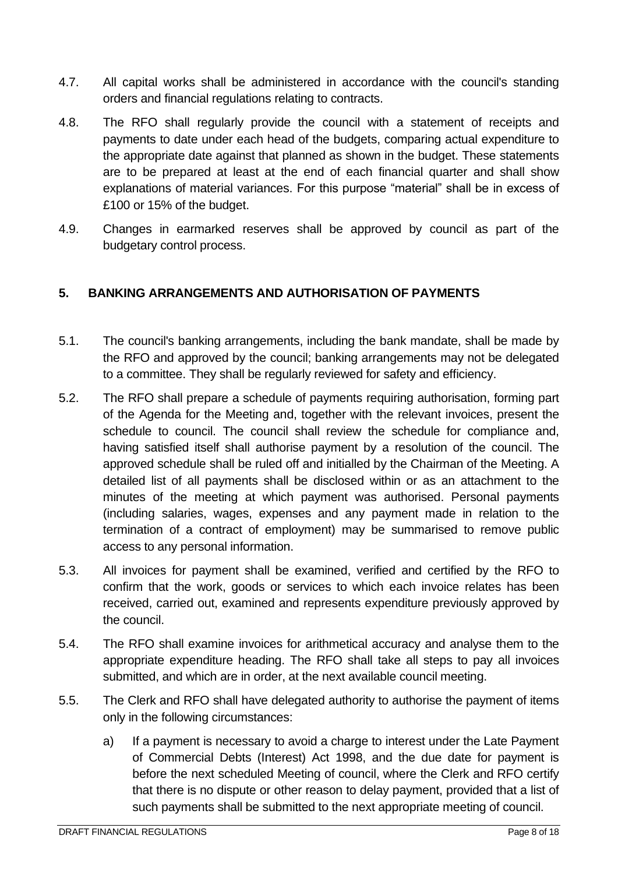- 4.7. All capital works shall be administered in accordance with the council's standing orders and financial regulations relating to contracts.
- 4.8. The RFO shall regularly provide the council with a statement of receipts and payments to date under each head of the budgets, comparing actual expenditure to the appropriate date against that planned as shown in the budget. These statements are to be prepared at least at the end of each financial quarter and shall show explanations of material variances. For this purpose "material" shall be in excess of £100 or 15% of the budget.
- 4.9. Changes in earmarked reserves shall be approved by council as part of the budgetary control process.

## <span id="page-7-0"></span>**5. BANKING ARRANGEMENTS AND AUTHORISATION OF PAYMENTS**

- 5.1. The council's banking arrangements, including the bank mandate, shall be made by the RFO and approved by the council; banking arrangements may not be delegated to a committee. They shall be regularly reviewed for safety and efficiency.
- 5.2. The RFO shall prepare a schedule of payments requiring authorisation, forming part of the Agenda for the Meeting and, together with the relevant invoices, present the schedule to council. The council shall review the schedule for compliance and, having satisfied itself shall authorise payment by a resolution of the council. The approved schedule shall be ruled off and initialled by the Chairman of the Meeting. A detailed list of all payments shall be disclosed within or as an attachment to the minutes of the meeting at which payment was authorised. Personal payments (including salaries, wages, expenses and any payment made in relation to the termination of a contract of employment) may be summarised to remove public access to any personal information.
- 5.3. All invoices for payment shall be examined, verified and certified by the RFO to confirm that the work, goods or services to which each invoice relates has been received, carried out, examined and represents expenditure previously approved by the council.
- 5.4. The RFO shall examine invoices for arithmetical accuracy and analyse them to the appropriate expenditure heading. The RFO shall take all steps to pay all invoices submitted, and which are in order, at the next available council meeting.
- 5.5. The Clerk and RFO shall have delegated authority to authorise the payment of items only in the following circumstances:
	- a) If a payment is necessary to avoid a charge to interest under the Late Payment of Commercial Debts (Interest) Act 1998, and the due date for payment is before the next scheduled Meeting of council, where the Clerk and RFO certify that there is no dispute or other reason to delay payment, provided that a list of such payments shall be submitted to the next appropriate meeting of council.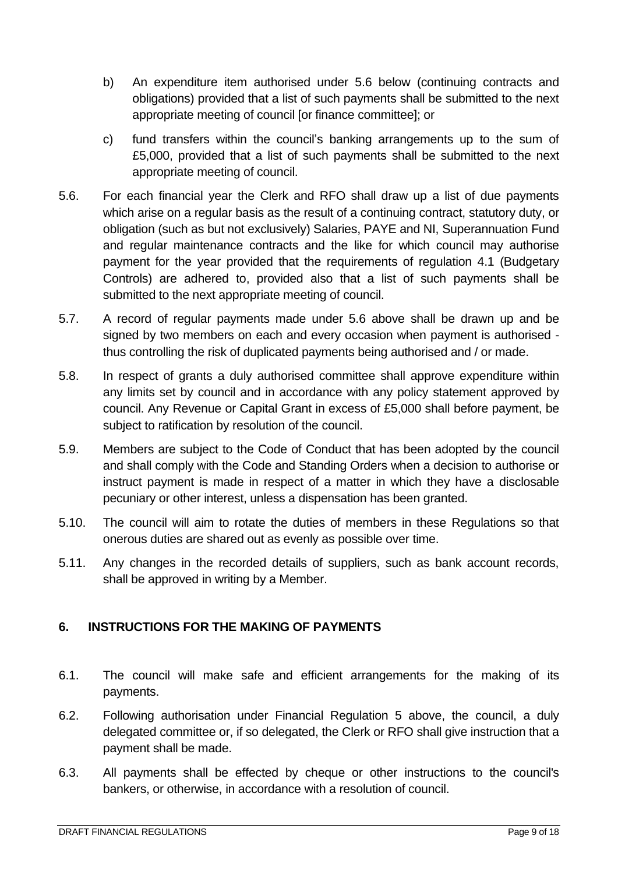- b) An expenditure item authorised under 5.6 below (continuing contracts and obligations) provided that a list of such payments shall be submitted to the next appropriate meeting of council [or finance committee]; or
- c) fund transfers within the council's banking arrangements up to the sum of £5,000, provided that a list of such payments shall be submitted to the next appropriate meeting of council.
- 5.6. For each financial year the Clerk and RFO shall draw up a list of due payments which arise on a regular basis as the result of a continuing contract, statutory duty, or obligation (such as but not exclusively) Salaries, PAYE and NI, Superannuation Fund and regular maintenance contracts and the like for which council may authorise payment for the year provided that the requirements of regulation 4.1 (Budgetary Controls) are adhered to, provided also that a list of such payments shall be submitted to the next appropriate meeting of council.
- 5.7. A record of regular payments made under 5.6 above shall be drawn up and be signed by two members on each and every occasion when payment is authorised thus controlling the risk of duplicated payments being authorised and / or made.
- 5.8. In respect of grants a duly authorised committee shall approve expenditure within any limits set by council and in accordance with any policy statement approved by council. Any Revenue or Capital Grant in excess of £5,000 shall before payment, be subject to ratification by resolution of the council.
- 5.9. Members are subject to the Code of Conduct that has been adopted by the council and shall comply with the Code and Standing Orders when a decision to authorise or instruct payment is made in respect of a matter in which they have a disclosable pecuniary or other interest, unless a dispensation has been granted.
- 5.10. The council will aim to rotate the duties of members in these Regulations so that onerous duties are shared out as evenly as possible over time.
- 5.11. Any changes in the recorded details of suppliers, such as bank account records, shall be approved in writing by a Member.

# <span id="page-8-0"></span>**6. INSTRUCTIONS FOR THE MAKING OF PAYMENTS**

- 6.1. The council will make safe and efficient arrangements for the making of its payments.
- 6.2. Following authorisation under Financial Regulation 5 above, the council, a duly delegated committee or, if so delegated, the Clerk or RFO shall give instruction that a payment shall be made.
- 6.3. All payments shall be effected by cheque or other instructions to the council's bankers, or otherwise, in accordance with a resolution of council.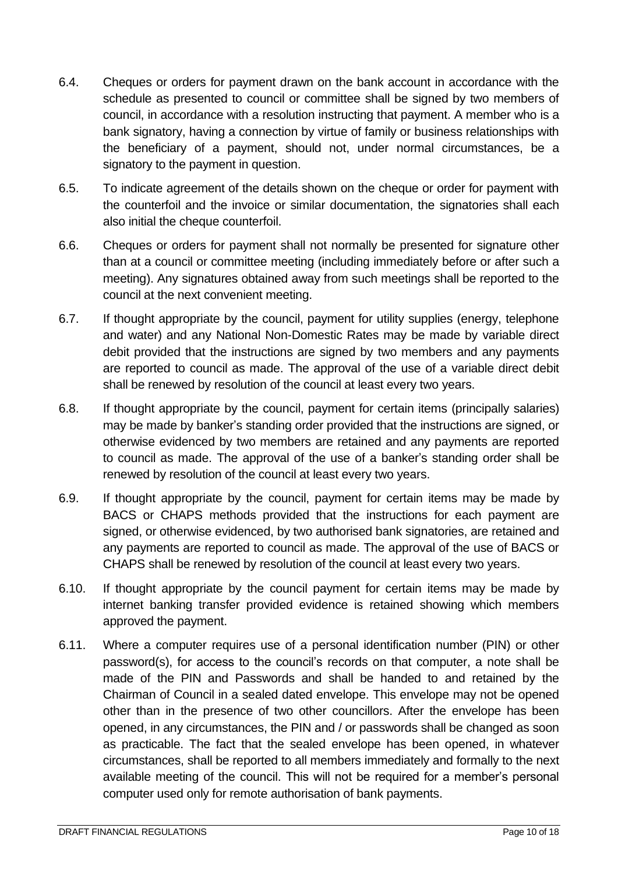- 6.4. Cheques or orders for payment drawn on the bank account in accordance with the schedule as presented to council or committee shall be signed by two members of council, in accordance with a resolution instructing that payment. A member who is a bank signatory, having a connection by virtue of family or business relationships with the beneficiary of a payment, should not, under normal circumstances, be a signatory to the payment in question.
- 6.5. To indicate agreement of the details shown on the cheque or order for payment with the counterfoil and the invoice or similar documentation, the signatories shall each also initial the cheque counterfoil.
- 6.6. Cheques or orders for payment shall not normally be presented for signature other than at a council or committee meeting (including immediately before or after such a meeting). Any signatures obtained away from such meetings shall be reported to the council at the next convenient meeting.
- 6.7. If thought appropriate by the council, payment for utility supplies (energy, telephone and water) and any National Non-Domestic Rates may be made by variable direct debit provided that the instructions are signed by two members and any payments are reported to council as made. The approval of the use of a variable direct debit shall be renewed by resolution of the council at least every two years.
- 6.8. If thought appropriate by the council, payment for certain items (principally salaries) may be made by banker's standing order provided that the instructions are signed, or otherwise evidenced by two members are retained and any payments are reported to council as made. The approval of the use of a banker's standing order shall be renewed by resolution of the council at least every two years.
- 6.9. If thought appropriate by the council, payment for certain items may be made by BACS or CHAPS methods provided that the instructions for each payment are signed, or otherwise evidenced, by two authorised bank signatories, are retained and any payments are reported to council as made. The approval of the use of BACS or CHAPS shall be renewed by resolution of the council at least every two years.
- 6.10. If thought appropriate by the council payment for certain items may be made by internet banking transfer provided evidence is retained showing which members approved the payment.
- 6.11. Where a computer requires use of a personal identification number (PIN) or other password(s), for access to the council's records on that computer, a note shall be made of the PIN and Passwords and shall be handed to and retained by the Chairman of Council in a sealed dated envelope. This envelope may not be opened other than in the presence of two other councillors. After the envelope has been opened, in any circumstances, the PIN and / or passwords shall be changed as soon as practicable. The fact that the sealed envelope has been opened, in whatever circumstances, shall be reported to all members immediately and formally to the next available meeting of the council. This will not be required for a member's personal computer used only for remote authorisation of bank payments.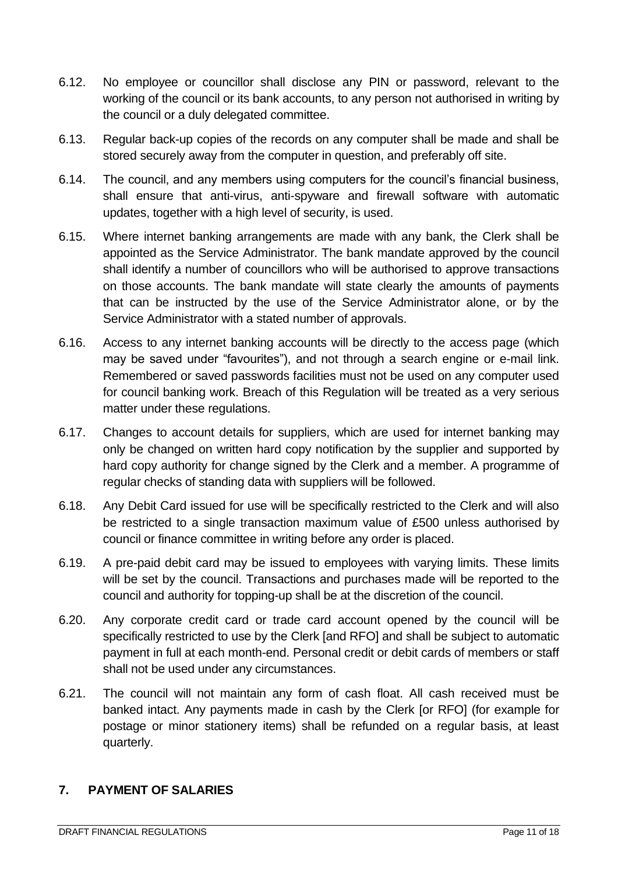- 6.12. No employee or councillor shall disclose any PIN or password, relevant to the working of the council or its bank accounts, to any person not authorised in writing by the council or a duly delegated committee.
- 6.13. Regular back-up copies of the records on any computer shall be made and shall be stored securely away from the computer in question, and preferably off site.
- 6.14. The council, and any members using computers for the council's financial business, shall ensure that anti-virus, anti-spyware and firewall software with automatic updates, together with a high level of security, is used.
- 6.15. Where internet banking arrangements are made with any bank, the Clerk shall be appointed as the Service Administrator. The bank mandate approved by the council shall identify a number of councillors who will be authorised to approve transactions on those accounts. The bank mandate will state clearly the amounts of payments that can be instructed by the use of the Service Administrator alone, or by the Service Administrator with a stated number of approvals.
- 6.16. Access to any internet banking accounts will be directly to the access page (which may be saved under "favourites"), and not through a search engine or e-mail link. Remembered or saved passwords facilities must not be used on any computer used for council banking work. Breach of this Regulation will be treated as a very serious matter under these regulations.
- 6.17. Changes to account details for suppliers, which are used for internet banking may only be changed on written hard copy notification by the supplier and supported by hard copy authority for change signed by the Clerk and a member. A programme of regular checks of standing data with suppliers will be followed.
- 6.18. Any Debit Card issued for use will be specifically restricted to the Clerk and will also be restricted to a single transaction maximum value of £500 unless authorised by council or finance committee in writing before any order is placed.
- 6.19. A pre-paid debit card may be issued to employees with varying limits. These limits will be set by the council. Transactions and purchases made will be reported to the council and authority for topping-up shall be at the discretion of the council.
- 6.20. Any corporate credit card or trade card account opened by the council will be specifically restricted to use by the Clerk [and RFO] and shall be subject to automatic payment in full at each month-end. Personal credit or debit cards of members or staff shall not be used under any circumstances.
- 6.21. The council will not maintain any form of cash float. All cash received must be banked intact. Any payments made in cash by the Clerk [or RFO] (for example for postage or minor stationery items) shall be refunded on a regular basis, at least quarterly.

#### <span id="page-10-0"></span>**7. PAYMENT OF SALARIES**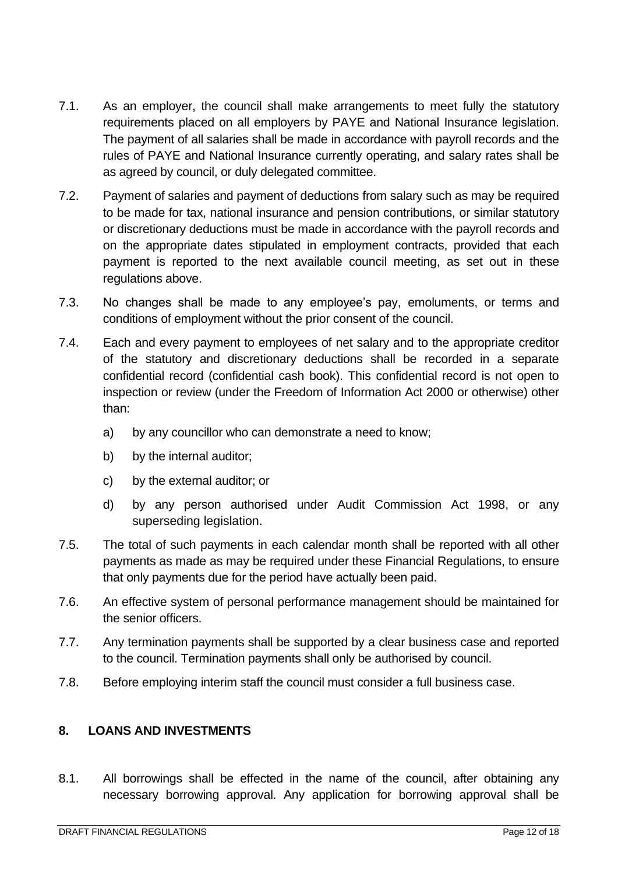- 7.1. As an employer, the council shall make arrangements to meet fully the statutory requirements placed on all employers by PAYE and National Insurance legislation. The payment of all salaries shall be made in accordance with payroll records and the rules of PAYE and National Insurance currently operating, and salary rates shall be as agreed by council, or duly delegated committee.
- 7.2. Payment of salaries and payment of deductions from salary such as may be required to be made for tax, national insurance and pension contributions, or similar statutory or discretionary deductions must be made in accordance with the payroll records and on the appropriate dates stipulated in employment contracts, provided that each payment is reported to the next available council meeting, as set out in these regulations above.
- 7.3. No changes shall be made to any employee's pay, emoluments, or terms and conditions of employment without the prior consent of the council.
- 7.4. Each and every payment to employees of net salary and to the appropriate creditor of the statutory and discretionary deductions shall be recorded in a separate confidential record (confidential cash book). This confidential record is not open to inspection or review (under the Freedom of Information Act 2000 or otherwise) other than:
	- a) by any councillor who can demonstrate a need to know;
	- b) by the internal auditor;
	- c) by the external auditor; or
	- d) by any person authorised under Audit Commission Act 1998, or any superseding legislation.
- 7.5. The total of such payments in each calendar month shall be reported with all other payments as made as may be required under these Financial Regulations, to ensure that only payments due for the period have actually been paid.
- 7.6. An effective system of personal performance management should be maintained for the senior officers.
- 7.7. Any termination payments shall be supported by a clear business case and reported to the council. Termination payments shall only be authorised by council.
- 7.8. Before employing interim staff the council must consider a full business case.

#### <span id="page-11-0"></span>**8. LOANS AND INVESTMENTS**

8.1. All borrowings shall be effected in the name of the council, after obtaining any necessary borrowing approval. Any application for borrowing approval shall be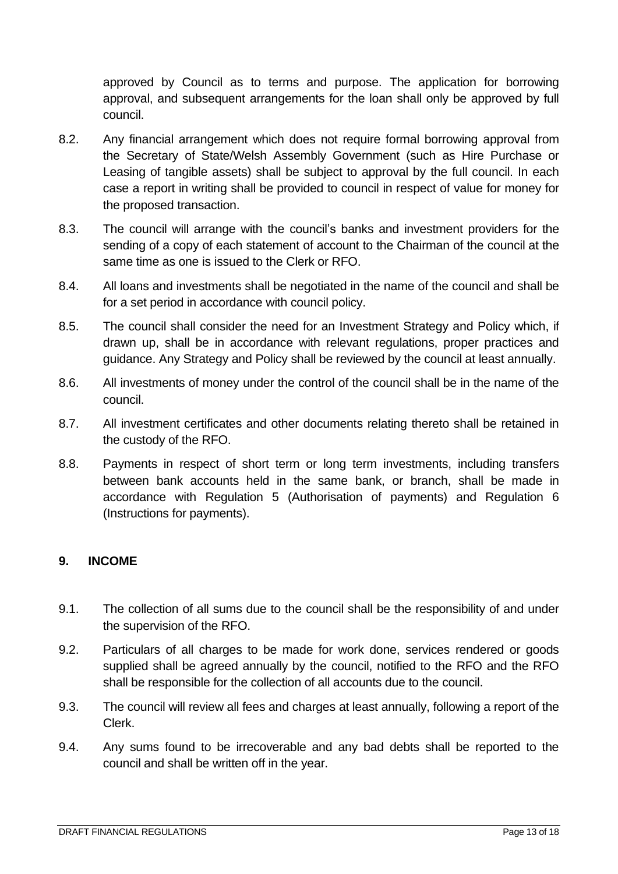approved by Council as to terms and purpose. The application for borrowing approval, and subsequent arrangements for the loan shall only be approved by full council.

- 8.2. Any financial arrangement which does not require formal borrowing approval from the Secretary of State/Welsh Assembly Government (such as Hire Purchase or Leasing of tangible assets) shall be subject to approval by the full council. In each case a report in writing shall be provided to council in respect of value for money for the proposed transaction.
- 8.3. The council will arrange with the council's banks and investment providers for the sending of a copy of each statement of account to the Chairman of the council at the same time as one is issued to the Clerk or RFO.
- 8.4. All loans and investments shall be negotiated in the name of the council and shall be for a set period in accordance with council policy.
- 8.5. The council shall consider the need for an Investment Strategy and Policy which, if drawn up, shall be in accordance with relevant regulations, proper practices and guidance. Any Strategy and Policy shall be reviewed by the council at least annually.
- 8.6. All investments of money under the control of the council shall be in the name of the council.
- 8.7. All investment certificates and other documents relating thereto shall be retained in the custody of the RFO.
- 8.8. Payments in respect of short term or long term investments, including transfers between bank accounts held in the same bank, or branch, shall be made in accordance with Regulation 5 (Authorisation of payments) and Regulation 6 (Instructions for payments).

#### <span id="page-12-0"></span>**9. INCOME**

- 9.1. The collection of all sums due to the council shall be the responsibility of and under the supervision of the RFO.
- 9.2. Particulars of all charges to be made for work done, services rendered or goods supplied shall be agreed annually by the council, notified to the RFO and the RFO shall be responsible for the collection of all accounts due to the council.
- 9.3. The council will review all fees and charges at least annually, following a report of the Clerk.
- 9.4. Any sums found to be irrecoverable and any bad debts shall be reported to the council and shall be written off in the year.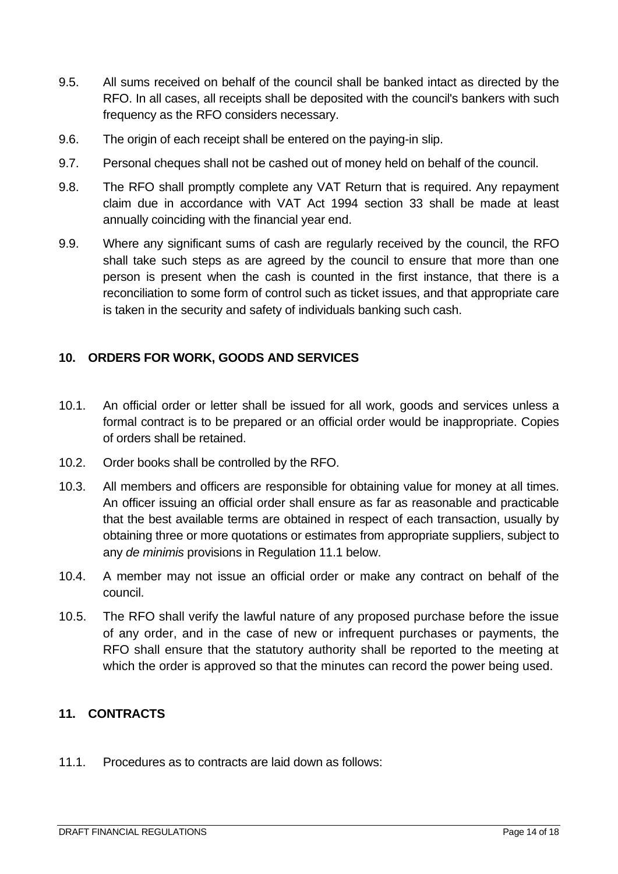- 9.5. All sums received on behalf of the council shall be banked intact as directed by the RFO. In all cases, all receipts shall be deposited with the council's bankers with such frequency as the RFO considers necessary.
- 9.6. The origin of each receipt shall be entered on the paying-in slip.
- 9.7. Personal cheques shall not be cashed out of money held on behalf of the council.
- 9.8. The RFO shall promptly complete any VAT Return that is required. Any repayment claim due in accordance with VAT Act 1994 section 33 shall be made at least annually coinciding with the financial year end.
- 9.9. Where any significant sums of cash are regularly received by the council, the RFO shall take such steps as are agreed by the council to ensure that more than one person is present when the cash is counted in the first instance, that there is a reconciliation to some form of control such as ticket issues, and that appropriate care is taken in the security and safety of individuals banking such cash.

## <span id="page-13-0"></span>**10. ORDERS FOR WORK, GOODS AND SERVICES**

- 10.1. An official order or letter shall be issued for all work, goods and services unless a formal contract is to be prepared or an official order would be inappropriate. Copies of orders shall be retained.
- 10.2. Order books shall be controlled by the RFO.
- 10.3. All members and officers are responsible for obtaining value for money at all times. An officer issuing an official order shall ensure as far as reasonable and practicable that the best available terms are obtained in respect of each transaction, usually by obtaining three or more quotations or estimates from appropriate suppliers, subject to any *de minimis* provisions in Regulation 11.1 below.
- 10.4. A member may not issue an official order or make any contract on behalf of the council.
- 10.5. The RFO shall verify the lawful nature of any proposed purchase before the issue of any order, and in the case of new or infrequent purchases or payments, the RFO shall ensure that the statutory authority shall be reported to the meeting at which the order is approved so that the minutes can record the power being used.

#### <span id="page-13-1"></span>**11. CONTRACTS**

11.1. Procedures as to contracts are laid down as follows: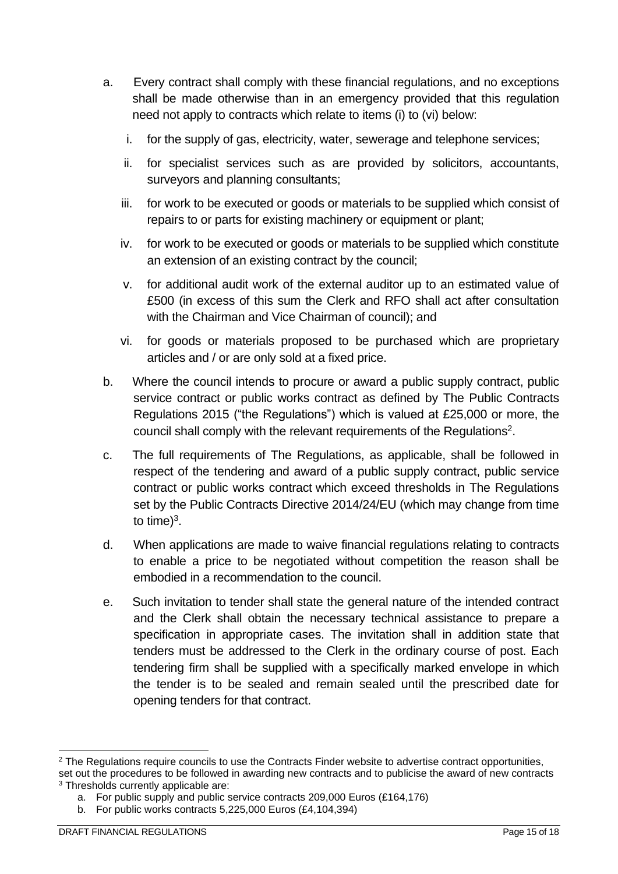- a. Every contract shall comply with these financial regulations, and no exceptions shall be made otherwise than in an emergency provided that this regulation need not apply to contracts which relate to items (i) to (vi) below:
	- i. for the supply of gas, electricity, water, sewerage and telephone services;
	- ii. for specialist services such as are provided by solicitors, accountants, surveyors and planning consultants;
	- iii. for work to be executed or goods or materials to be supplied which consist of repairs to or parts for existing machinery or equipment or plant;
	- iv. for work to be executed or goods or materials to be supplied which constitute an extension of an existing contract by the council;
	- v. for additional audit work of the external auditor up to an estimated value of £500 (in excess of this sum the Clerk and RFO shall act after consultation with the Chairman and Vice Chairman of council); and
	- vi. for goods or materials proposed to be purchased which are proprietary articles and / or are only sold at a fixed price.
- b. Where the council intends to procure or award a public supply contract, public service contract or public works contract as defined by The Public Contracts Regulations 2015 ("the Regulations") which is valued at £25,000 or more, the council shall comply with the relevant requirements of the Regulations<sup>2</sup>.
- c. The full requirements of The Regulations, as applicable, shall be followed in respect of the tendering and award of a public supply contract, public service contract or public works contract which exceed thresholds in The Regulations set by the Public Contracts Directive 2014/24/EU (which may change from time to time) $3$ .
- d. When applications are made to waive financial regulations relating to contracts to enable a price to be negotiated without competition the reason shall be embodied in a recommendation to the council.
- e. Such invitation to tender shall state the general nature of the intended contract and the Clerk shall obtain the necessary technical assistance to prepare a specification in appropriate cases. The invitation shall in addition state that tenders must be addressed to the Clerk in the ordinary course of post. Each tendering firm shall be supplied with a specifically marked envelope in which the tender is to be sealed and remain sealed until the prescribed date for opening tenders for that contract.

<sup>&</sup>lt;sup>2</sup> The Regulations require councils to use the Contracts Finder website to advertise contract opportunities, set out the procedures to be followed in awarding new contracts and to publicise the award of new contracts <sup>3</sup> Thresholds currently applicable are:

a. For public supply and public service contracts 209,000 Euros (£164,176)

b. For public works contracts 5,225,000 Euros (£4,104,394)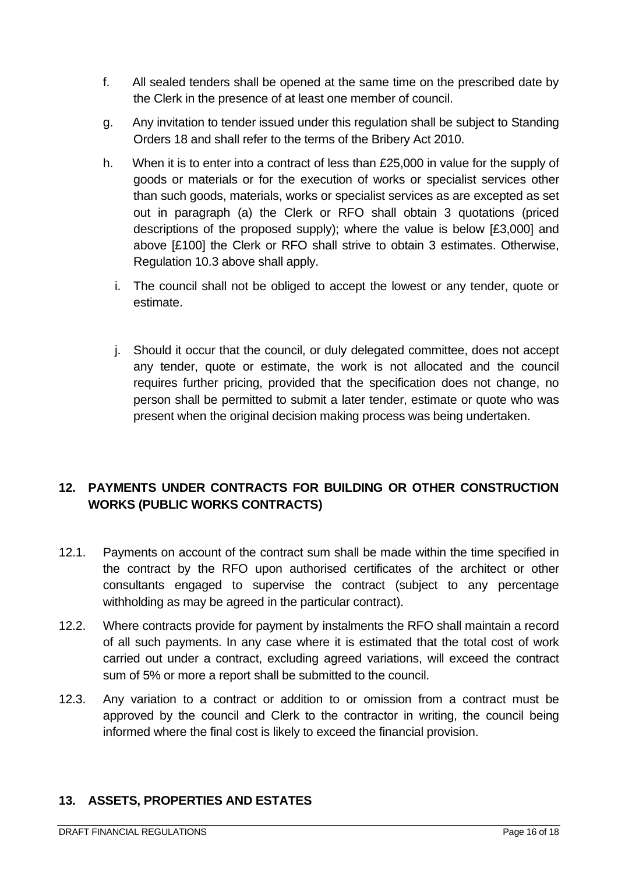- f. All sealed tenders shall be opened at the same time on the prescribed date by the Clerk in the presence of at least one member of council.
- g. Any invitation to tender issued under this regulation shall be subject to Standing Orders 18 and shall refer to the terms of the Bribery Act 2010.
- h. When it is to enter into a contract of less than £25,000 in value for the supply of goods or materials or for the execution of works or specialist services other than such goods, materials, works or specialist services as are excepted as set out in paragraph (a) the Clerk or RFO shall obtain 3 quotations (priced descriptions of the proposed supply); where the value is below [£3,000] and above [£100] the Clerk or RFO shall strive to obtain 3 estimates. Otherwise, Regulation 10.3 above shall apply.
	- i. The council shall not be obliged to accept the lowest or any tender, quote or estimate.
	- j. Should it occur that the council, or duly delegated committee, does not accept any tender, quote or estimate, the work is not allocated and the council requires further pricing, provided that the specification does not change, no person shall be permitted to submit a later tender, estimate or quote who was present when the original decision making process was being undertaken.

# <span id="page-15-0"></span>**12. PAYMENTS UNDER CONTRACTS FOR BUILDING OR OTHER CONSTRUCTION WORKS (PUBLIC WORKS CONTRACTS)**

- 12.1. Payments on account of the contract sum shall be made within the time specified in the contract by the RFO upon authorised certificates of the architect or other consultants engaged to supervise the contract (subject to any percentage withholding as may be agreed in the particular contract).
- 12.2. Where contracts provide for payment by instalments the RFO shall maintain a record of all such payments. In any case where it is estimated that the total cost of work carried out under a contract, excluding agreed variations, will exceed the contract sum of 5% or more a report shall be submitted to the council.
- 12.3. Any variation to a contract or addition to or omission from a contract must be approved by the council and Clerk to the contractor in writing, the council being informed where the final cost is likely to exceed the financial provision.

#### <span id="page-15-1"></span>**13. ASSETS, PROPERTIES AND ESTATES**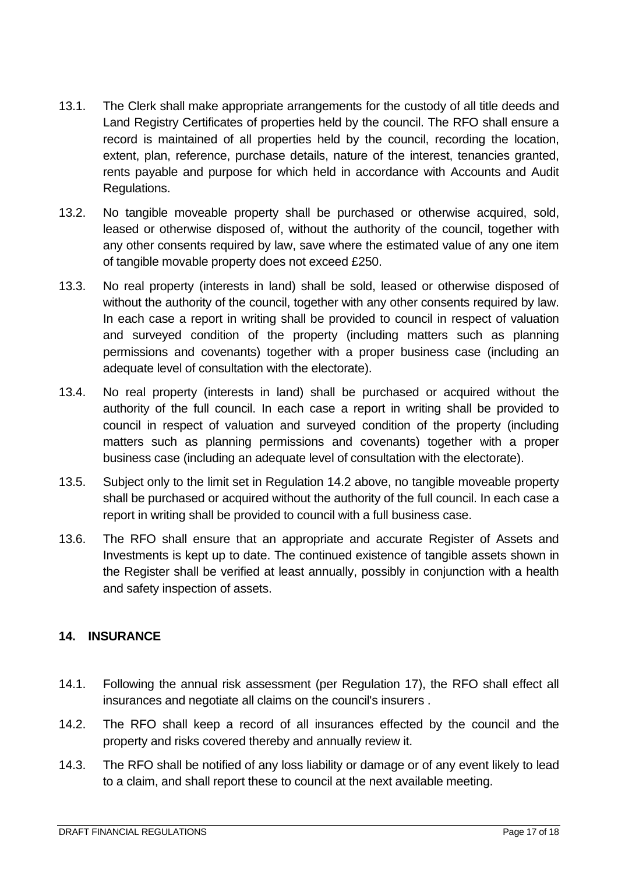- 13.1. The Clerk shall make appropriate arrangements for the custody of all title deeds and Land Registry Certificates of properties held by the council. The RFO shall ensure a record is maintained of all properties held by the council, recording the location, extent, plan, reference, purchase details, nature of the interest, tenancies granted, rents payable and purpose for which held in accordance with Accounts and Audit Regulations.
- 13.2. No tangible moveable property shall be purchased or otherwise acquired, sold, leased or otherwise disposed of, without the authority of the council, together with any other consents required by law, save where the estimated value of any one item of tangible movable property does not exceed £250.
- 13.3. No real property (interests in land) shall be sold, leased or otherwise disposed of without the authority of the council, together with any other consents required by law. In each case a report in writing shall be provided to council in respect of valuation and surveyed condition of the property (including matters such as planning permissions and covenants) together with a proper business case (including an adequate level of consultation with the electorate).
- 13.4. No real property (interests in land) shall be purchased or acquired without the authority of the full council. In each case a report in writing shall be provided to council in respect of valuation and surveyed condition of the property (including matters such as planning permissions and covenants) together with a proper business case (including an adequate level of consultation with the electorate).
- 13.5. Subject only to the limit set in Regulation 14.2 above, no tangible moveable property shall be purchased or acquired without the authority of the full council. In each case a report in writing shall be provided to council with a full business case.
- 13.6. The RFO shall ensure that an appropriate and accurate Register of Assets and Investments is kept up to date. The continued existence of tangible assets shown in the Register shall be verified at least annually, possibly in conjunction with a health and safety inspection of assets.

#### <span id="page-16-0"></span>**14. INSURANCE**

- 14.1. Following the annual risk assessment (per Regulation 17), the RFO shall effect all insurances and negotiate all claims on the council's insurers .
- 14.2. The RFO shall keep a record of all insurances effected by the council and the property and risks covered thereby and annually review it.
- 14.3. The RFO shall be notified of any loss liability or damage or of any event likely to lead to a claim, and shall report these to council at the next available meeting.